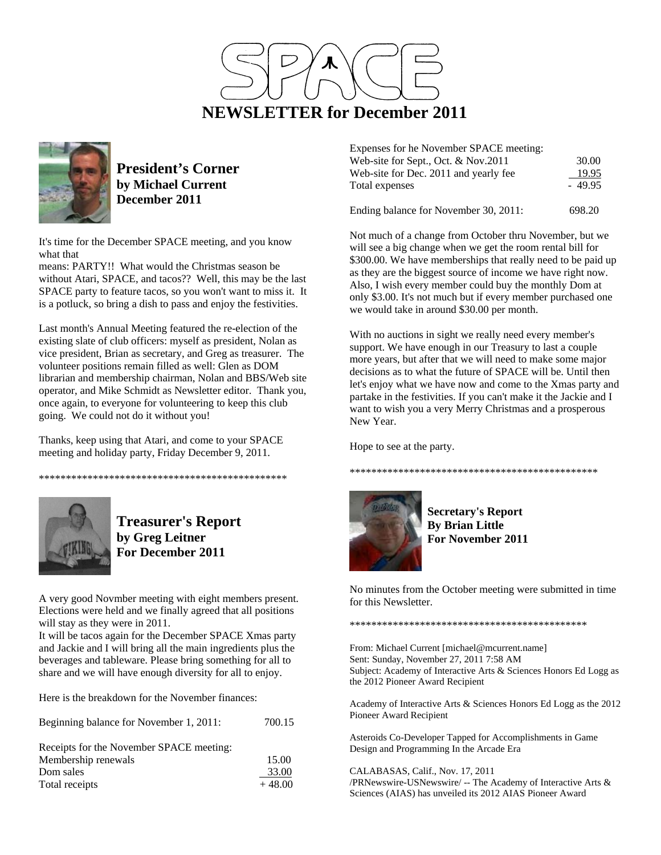



**President's Corner by Michael Current December 2011**

It's time for the December SPACE meeting, and you know what that

means: PARTY!! What would the Christmas season be without Atari, SPACE, and tacos?? Well, this may be the last SPACE party to feature tacos, so you won't want to miss it. It is a potluck, so bring a dish to pass and enjoy the festivities.

Last month's Annual Meeting featured the re-election of the existing slate of club officers: myself as president, Nolan as vice president, Brian as secretary, and Greg as treasurer. The volunteer positions remain filled as well: Glen as DOM librarian and membership chairman, Nolan and BBS/Web site operator, and Mike Schmidt as Newsletter editor. Thank you, once again, to everyone for volunteering to keep this club going. We could not do it without you!

Thanks, keep using that Atari, and come to your SPACE meeting and holiday party, Friday December 9, 2011.

\*\*\*\*\*\*\*\*\*\*\*\*\*\*\*\*\*\*\*\*\*\*\*\*\*\*\*\*\*\*\*\*\*\*\*\*\*\*\*\*\*\*\*\*\*\*



**Treasurer's Report by Greg Leitner For December 2011** 

A very good Novmber meeting with eight members present. Elections were held and we finally agreed that all positions will stay as they were in 2011.

It will be tacos again for the December SPACE Xmas party and Jackie and I will bring all the main ingredients plus the beverages and tableware. Please bring something for all to share and we will have enough diversity for all to enjoy.

Here is the breakdown for the November finances:

| Beginning balance for November 1, 2011:  | 700.15   |
|------------------------------------------|----------|
| Receipts for the November SPACE meeting: |          |
| Membership renewals                      | 15.00    |
| Dom sales                                | 33.00    |
| Total receipts                           | $+48.00$ |

| Expenses for he November SPACE meeting: |          |
|-----------------------------------------|----------|
| Web-site for Sept., Oct. $& Nov.2011$   | 30.00    |
| Web-site for Dec. 2011 and yearly fee   | 19.95    |
| Total expenses                          | $-49.95$ |
|                                         |          |

Ending balance for November 30, 2011: 698.20

Not much of a change from October thru November, but we will see a big change when we get the room rental bill for \$300.00. We have memberships that really need to be paid up as they are the biggest source of income we have right now. Also, I wish every member could buy the monthly Dom at only \$3.00. It's not much but if every member purchased one we would take in around \$30.00 per month.

With no auctions in sight we really need every member's support. We have enough in our Treasury to last a couple more years, but after that we will need to make some major decisions as to what the future of SPACE will be. Until then let's enjoy what we have now and come to the Xmas party and partake in the festivities. If you can't make it the Jackie and I want to wish you a very Merry Christmas and a prosperous New Year.

Hope to see at the party.



**Secretary's Report By Brian Little For November 2011** 

\*\*\*\*\*\*\*\*\*\*\*\*\*\*\*\*\*\*\*\*\*\*\*\*\*\*\*\*\*\*\*\*\*\*\*\*\*\*\*\*\*\*\*\*\*\*

No minutes from the October meeting were submitted in time for this Newsletter.

\*\*\*\*\*\*\*\*\*\*\*\*\*\*\*\*\*\*\*\*\*\*\*\*\*\*\*\*\*\*\*\*\*\*\*\*\*\*\*\*\*\*\*\*

From: Michael Current [michael@mcurrent.name] Sent: Sunday, November 27, 2011 7:58 AM Subject: Academy of Interactive Arts & Sciences Honors Ed Logg as the 2012 Pioneer Award Recipient

Academy of Interactive Arts & Sciences Honors Ed Logg as the 2012 Pioneer Award Recipient

Asteroids Co-Developer Tapped for Accomplishments in Game Design and Programming In the Arcade Era

CALABASAS, Calif., Nov. 17, 2011 /PRNewswire-USNewswire/ -- The Academy of Interactive Arts & Sciences (AIAS) has unveiled its 2012 AIAS Pioneer Award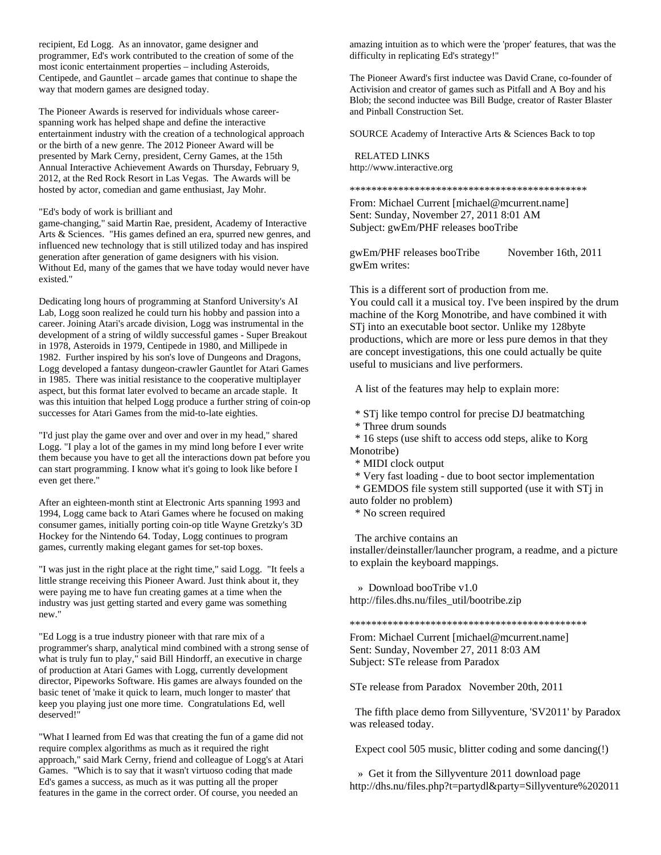recipient, Ed Logg. As an innovator, game designer and programmer, Ed's work contributed to the creation of some of the most iconic entertainment properties – including Asteroids, Centipede, and Gauntlet – arcade games that continue to shape the way that modern games are designed today.

The Pioneer Awards is reserved for individuals whose careerspanning work has helped shape and define the interactive entertainment industry with the creation of a technological approach or the birth of a new genre. The 2012 Pioneer Award will be presented by Mark Cerny, president, Cerny Games, at the 15th Annual Interactive Achievement Awards on Thursday, February 9, 2012, at the Red Rock Resort in Las Vegas. The Awards will be hosted by actor, comedian and game enthusiast, Jay Mohr.

## "Ed's body of work is brilliant and

game-changing," said Martin Rae, president, Academy of Interactive Arts & Sciences. "His games defined an era, spurred new genres, and influenced new technology that is still utilized today and has inspired generation after generation of game designers with his vision. Without Ed, many of the games that we have today would never have existed."

Dedicating long hours of programming at Stanford University's AI Lab, Logg soon realized he could turn his hobby and passion into a career. Joining Atari's arcade division, Logg was instrumental in the development of a string of wildly successful games - Super Breakout in 1978, Asteroids in 1979, Centipede in 1980, and Millipede in 1982. Further inspired by his son's love of Dungeons and Dragons, Logg developed a fantasy dungeon-crawler Gauntlet for Atari Games in 1985. There was initial resistance to the cooperative multiplayer aspect, but this format later evolved to became an arcade staple. It was this intuition that helped Logg produce a further string of coin-op successes for Atari Games from the mid-to-late eighties.

"I'd just play the game over and over and over in my head," shared Logg. "I play a lot of the games in my mind long before I ever write them because you have to get all the interactions down pat before you can start programming. I know what it's going to look like before I even get there."

After an eighteen-month stint at Electronic Arts spanning 1993 and 1994, Logg came back to Atari Games where he focused on making consumer games, initially porting coin-op title Wayne Gretzky's 3D Hockey for the Nintendo 64. Today, Logg continues to program games, currently making elegant games for set-top boxes.

"I was just in the right place at the right time," said Logg. "It feels a little strange receiving this Pioneer Award. Just think about it, they were paying me to have fun creating games at a time when the industry was just getting started and every game was something new."

"Ed Logg is a true industry pioneer with that rare mix of a programmer's sharp, analytical mind combined with a strong sense of what is truly fun to play," said Bill Hindorff, an executive in charge of production at Atari Games with Logg, currently development director, Pipeworks Software. His games are always founded on the basic tenet of 'make it quick to learn, much longer to master' that keep you playing just one more time. Congratulations Ed, well deserved!"

"What I learned from Ed was that creating the fun of a game did not require complex algorithms as much as it required the right approach," said Mark Cerny, friend and colleague of Logg's at Atari Games. "Which is to say that it wasn't virtuoso coding that made Ed's games a success, as much as it was putting all the proper features in the game in the correct order. Of course, you needed an

amazing intuition as to which were the 'proper' features, that was the difficulty in replicating Ed's strategy!"

The Pioneer Award's first inductee was David Crane, co-founder of Activision and creator of games such as Pitfall and A Boy and his Blob; the second inductee was Bill Budge, creator of Raster Blaster and Pinball Construction Set.

SOURCE Academy of Interactive Arts & Sciences Back to top

 RELATED LINKS http://www.interactive.org

\*\*\*\*\*\*\*\*\*\*\*\*\*\*\*\*\*\*\*\*\*\*\*\*\*\*\*\*\*\*\*\*\*\*\*\*\*\*\*\*\*\*\*\*

From: Michael Current [michael@mcurrent.name] Sent: Sunday, November 27, 2011 8:01 AM Subject: gwEm/PHF releases booTribe

gwEm/PHF releases booTribe November 16th, 2011 gwEm writes:

This is a different sort of production from me. You could call it a musical toy. I've been inspired by the drum machine of the Korg Monotribe, and have combined it with STj into an executable boot sector. Unlike my 128byte productions, which are more or less pure demos in that they are concept investigations, this one could actually be quite useful to musicians and live performers.

A list of the features may help to explain more:

\* STj like tempo control for precise DJ beatmatching

\* Three drum sounds

 \* 16 steps (use shift to access odd steps, alike to Korg Monotribe)

\* MIDI clock output

\* Very fast loading - due to boot sector implementation

\* GEMDOS file system still supported (use it with STj in

auto folder no problem)

\* No screen required

The archive contains an

installer/deinstaller/launcher program, a readme, and a picture to explain the keyboard mappings.

 » Download booTribe v1.0 http://files.dhs.nu/files\_util/bootribe.zip

\*\*\*\*\*\*\*\*\*\*\*\*\*\*\*\*\*\*\*\*\*\*\*\*\*\*\*\*\*\*\*\*\*\*\*\*\*\*\*\*\*\*\*\*

From: Michael Current [michael@mcurrent.name] Sent: Sunday, November 27, 2011 8:03 AM Subject: STe release from Paradox

STe release from Paradox November 20th, 2011

 The fifth place demo from Sillyventure, 'SV2011' by Paradox was released today.

Expect cool 505 music, blitter coding and some dancing(!)

 » Get it from the Sillyventure 2011 download page http://dhs.nu/files.php?t=partydl&party=Sillyventure%202011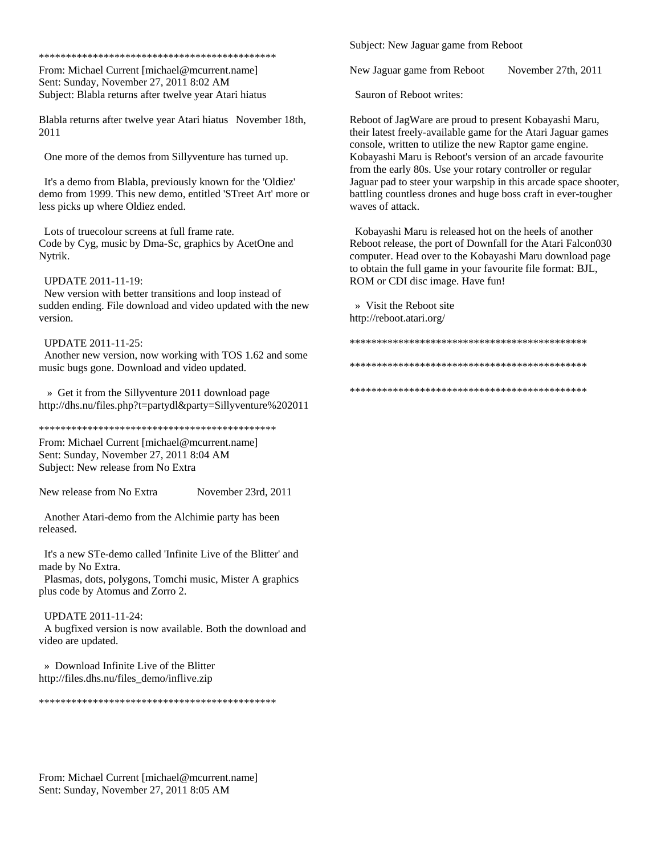\*\*\*\*\*\*\*\*\*\*\*\*\*\*\*\*\*\*\*\*\*\*\*\*\*\*\*\*\*\*\*\*\*\*\*\*\*\*\*\*\*\*\*\*

From: Michael Current [michael@mcurrent.name] Sent: Sunday, November 27, 2011 8:02 AM Subject: Blabla returns after twelve year Atari hiatus

Blabla returns after twelve year Atari hiatus November 18th, 2011

One more of the demos from Sillyventure has turned up.

 It's a demo from Blabla, previously known for the 'Oldiez' demo from 1999. This new demo, entitled 'STreet Art' more or less picks up where Oldiez ended.

 Lots of truecolour screens at full frame rate. Code by Cyg, music by Dma-Sc, graphics by AcetOne and Nytrik.

UPDATE 2011-11-19:

 New version with better transitions and loop instead of sudden ending. File download and video updated with the new version.

UPDATE 2011-11-25:

 Another new version, now working with TOS 1.62 and some music bugs gone. Download and video updated.

 » Get it from the Sillyventure 2011 download page http://dhs.nu/files.php?t=partydl&party=Sillyventure%202011

\*\*\*\*\*\*\*\*\*\*\*\*\*\*\*\*\*\*\*\*\*\*\*\*\*\*\*\*\*\*\*\*\*\*\*\*\*\*\*\*\*\*\*\*

From: Michael Current [michael@mcurrent.name] Sent: Sunday, November 27, 2011 8:04 AM Subject: New release from No Extra

New release from No Extra November 23rd, 2011

 Another Atari-demo from the Alchimie party has been released.

 It's a new STe-demo called 'Infinite Live of the Blitter' and made by No Extra.

 Plasmas, dots, polygons, Tomchi music, Mister A graphics plus code by Atomus and Zorro 2.

## UPDATE 2011-11-24:

 A bugfixed version is now available. Both the download and video are updated.

 » Download Infinite Live of the Blitter http://files.dhs.nu/files\_demo/inflive.zip

\*\*\*\*\*\*\*\*\*\*\*\*\*\*\*\*\*\*\*\*\*\*\*\*\*\*\*\*\*\*\*\*\*\*\*\*\*\*\*\*\*\*\*\*

Subject: New Jaguar game from Reboot

New Jaguar game from Reboot November 27th, 2011

Sauron of Reboot writes:

Reboot of JagWare are proud to present Kobayashi Maru, their latest freely-available game for the Atari Jaguar games console, written to utilize the new Raptor game engine. Kobayashi Maru is Reboot's version of an arcade favourite from the early 80s. Use your rotary controller or regular Jaguar pad to steer your warpship in this arcade space shooter, battling countless drones and huge boss craft in ever-tougher waves of attack.

 Kobayashi Maru is released hot on the heels of another Reboot release, the port of Downfall for the Atari Falcon030 computer. Head over to the Kobayashi Maru download page to obtain the full game in your favourite file format: BJL, ROM or CDI disc image. Have fun!

 » Visit the Reboot site http://reboot.atari.org/

\*\*\*\*\*\*\*\*\*\*\*\*\*\*\*\*\*\*\*\*\*\*\*\*\*\*\*\*\*\*\*\*\*\*\*\*\*\*\*\*\*\*\*\* \*\*\*\*\*\*\*\*\*\*\*\*\*\*\*\*\*\*\*\*\*\*\*\*\*\*\*\*\*\*\*\*\*\*\*\*\*\*\*\*\*\*\*\* \*\*\*\*\*\*\*\*\*\*\*\*\*\*\*\*\*\*\*\*\*\*\*\*\*\*\*\*\*\*\*\*\*\*\*\*\*\*\*\*\*\*\*\*

From: Michael Current [michael@mcurrent.name] Sent: Sunday, November 27, 2011 8:05 AM